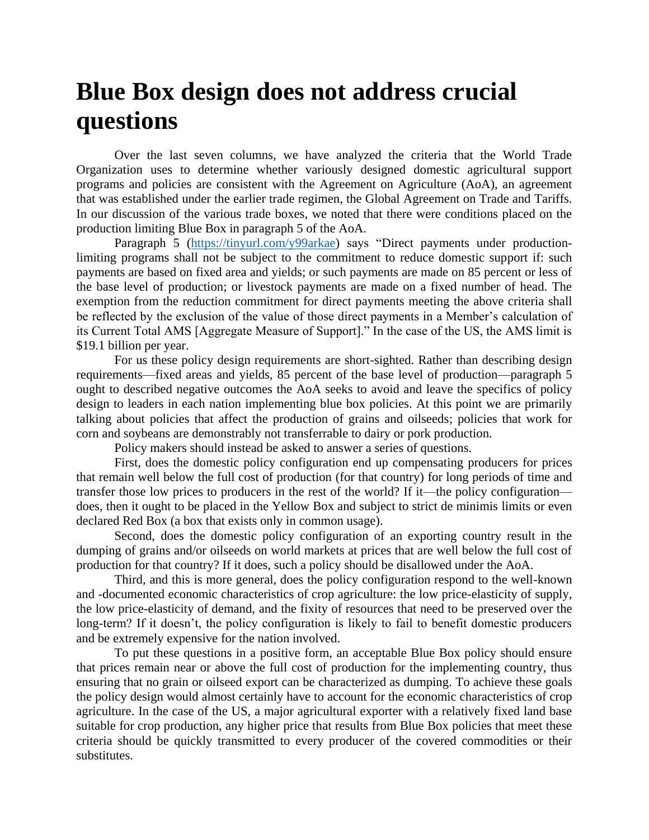## **Blue Box design does not address crucial questions**

Over the last seven columns, we have analyzed the criteria that the World Trade Organization uses to determine whether variously designed domestic agricultural support programs and policies are consistent with the Agreement on Agriculture (AoA), an agreement that was established under the earlier trade regimen, the Global Agreement on Trade and Tariffs. In our discussion of the various trade boxes, we noted that there were conditions placed on the production limiting Blue Box in paragraph 5 of the AoA.

Paragraph 5 [\(https://tinyurl.com/y99arkae\)](https://tinyurl.com/y99arkae) says "Direct payments under productionlimiting programs shall not be subject to the commitment to reduce domestic support if: such payments are based on fixed area and yields; or such payments are made on 85 percent or less of the base level of production; or livestock payments are made on a fixed number of head. The exemption from the reduction commitment for direct payments meeting the above criteria shall be reflected by the exclusion of the value of those direct payments in a Member's calculation of its Current Total AMS [Aggregate Measure of Support]." In the case of the US, the AMS limit is \$19.1 billion per year.

For us these policy design requirements are short-sighted. Rather than describing design requirements—fixed areas and yields, 85 percent of the base level of production—paragraph 5 ought to described negative outcomes the AoA seeks to avoid and leave the specifics of policy design to leaders in each nation implementing blue box policies. At this point we are primarily talking about policies that affect the production of grains and oilseeds; policies that work for corn and soybeans are demonstrably not transferrable to dairy or pork production.

Policy makers should instead be asked to answer a series of questions.

First, does the domestic policy configuration end up compensating producers for prices that remain well below the full cost of production (for that country) for long periods of time and transfer those low prices to producers in the rest of the world? If it—the policy configuration does, then it ought to be placed in the Yellow Box and subject to strict de minimis limits or even declared Red Box (a box that exists only in common usage).

Second, does the domestic policy configuration of an exporting country result in the dumping of grains and/or oilseeds on world markets at prices that are well below the full cost of production for that country? If it does, such a policy should be disallowed under the AoA.

Third, and this is more general, does the policy configuration respond to the well-known and -documented economic characteristics of crop agriculture: the low price-elasticity of supply, the low price-elasticity of demand, and the fixity of resources that need to be preserved over the long-term? If it doesn't, the policy configuration is likely to fail to benefit domestic producers and be extremely expensive for the nation involved.

To put these questions in a positive form, an acceptable Blue Box policy should ensure that prices remain near or above the full cost of production for the implementing country, thus ensuring that no grain or oilseed export can be characterized as dumping. To achieve these goals the policy design would almost certainly have to account for the economic characteristics of crop agriculture. In the case of the US, a major agricultural exporter with a relatively fixed land base suitable for crop production, any higher price that results from Blue Box policies that meet these criteria should be quickly transmitted to every producer of the covered commodities or their substitutes.